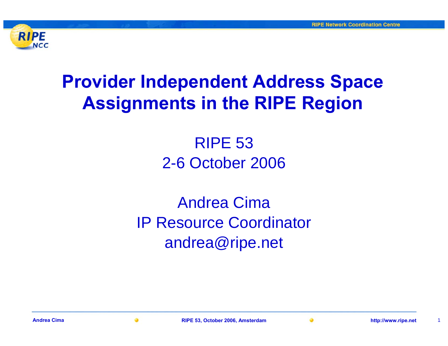

## **Provider Independent Address Space Assignments in the RIPE Region**

### RIPE 532-6 October 2006

### Andrea CimaIP Resource Coordinator andrea@ripe.net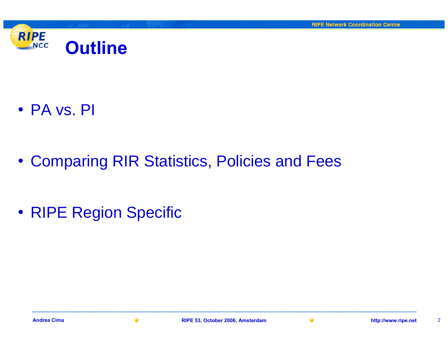

• PA vs. PI

• Comparing RIR Statistics, Policies and Fees

• RIPE Region Specific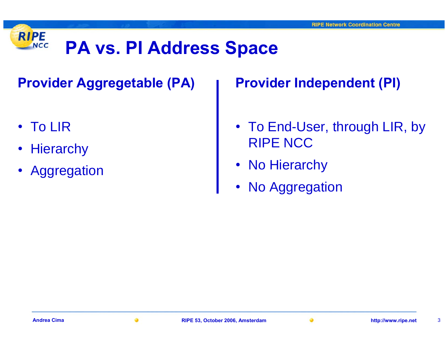#### **RIPE PA vs. PI Address Space NCC**

**Provider Aggregetable (PA)**

- To LIR
- •**Hierarchy**
- •Aggregation

**Provider Independent (PI)**

- To End-User, through LIR, by RIPE NCC
- No Hierarchy
- $\bullet$ No Aggregation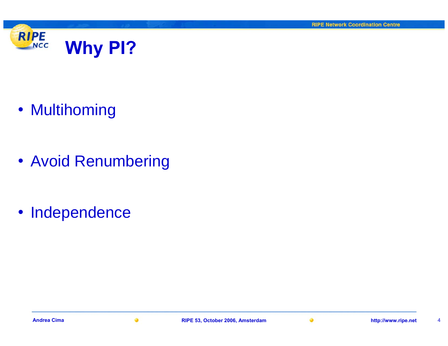

• Multihoming

• Avoid Renumbering

• Independence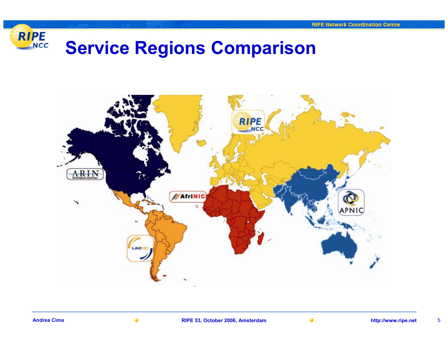

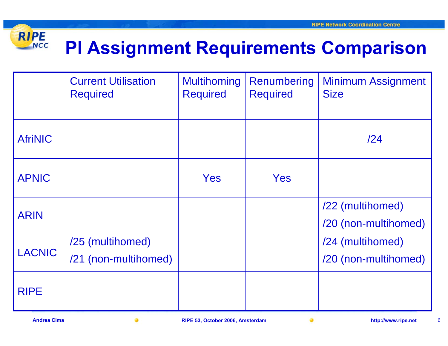#### **RIPE PI Assignment Requirements Comparison NCC**

|                | <b>Current Utilisation</b><br><b>Required</b> | <b>Multihoming</b><br><b>Required</b> | Renumbering<br><b>Required</b> | <b>Minimum Assignment</b><br><b>Size</b> |
|----------------|-----------------------------------------------|---------------------------------------|--------------------------------|------------------------------------------|
| <b>AfriNIC</b> |                                               |                                       |                                | /24                                      |
| <b>APNIC</b>   |                                               | Yes                                   | Yes                            |                                          |
| <b>ARIN</b>    |                                               |                                       |                                | /22 (multihomed)<br>/20 (non-multihomed) |
| <b>LACNIC</b>  | /25 (multihomed)<br>/21 (non-multihomed)      |                                       |                                | /24 (multihomed)<br>/20 (non-multihomed) |
| <b>RIPE</b>    |                                               |                                       |                                |                                          |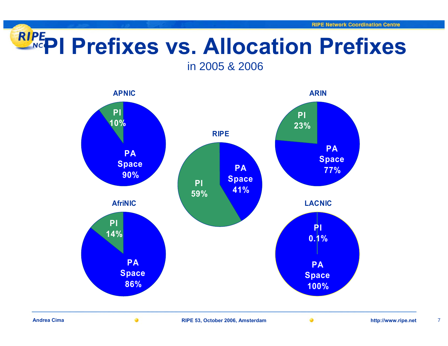# **PI Prefixes vs. Allocation Prefixes**

in 2005 & 2006



**Andrea Cima**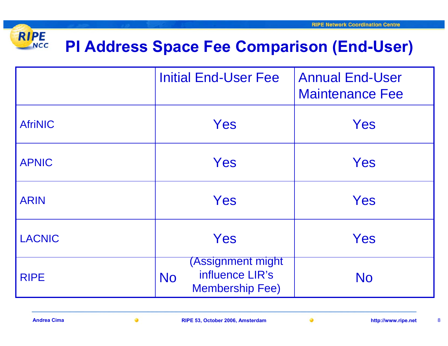#### **RIPE PI Address Space Fee Comparison (End-User) NCC**

|                | <b>Initial End-User Fee</b>                                                 | <b>Annual End-User</b><br><b>Maintenance Fee</b> |
|----------------|-----------------------------------------------------------------------------|--------------------------------------------------|
| <b>AfriNIC</b> | Yes                                                                         | Yes                                              |
| <b>APNIC</b>   | Yes                                                                         | Yes                                              |
| <b>ARIN</b>    | Yes                                                                         | Yes                                              |
| <b>LACNIC</b>  | Yes                                                                         | Yes                                              |
| <b>RIPE</b>    | (Assignment might<br>influence LIR's<br><b>No</b><br><b>Membership Fee)</b> | <b>No</b>                                        |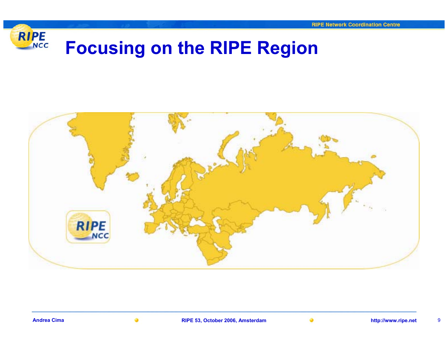

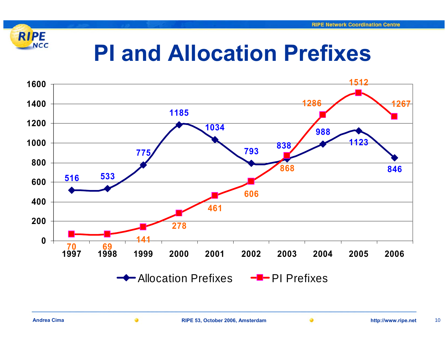

## **PI and Allocation Prefixes**

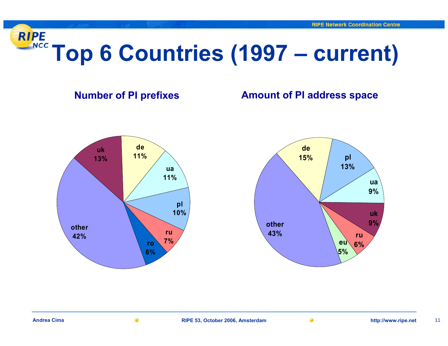

### **Number of PI prefixes <b>Amount of PI address space**



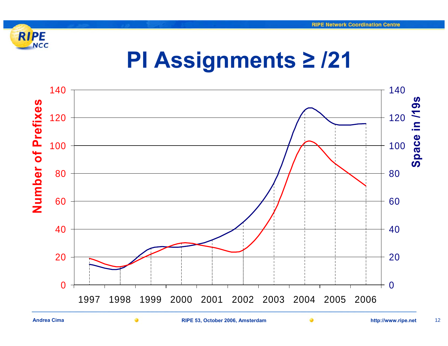

## **PI Assignments ≥ /21**



**Andrea Cima**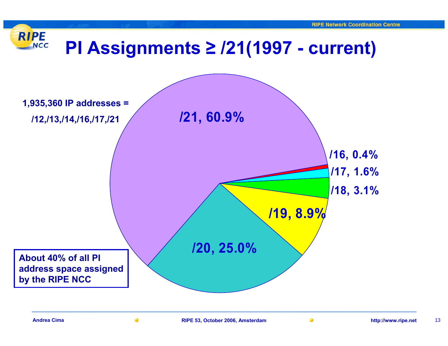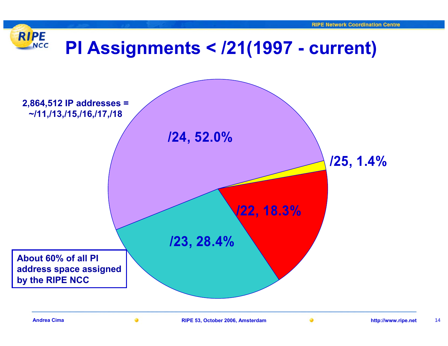